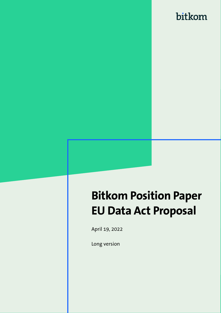# **Bitkom Position Paper EU Data Act Proposal**

April 19, 2022

Long version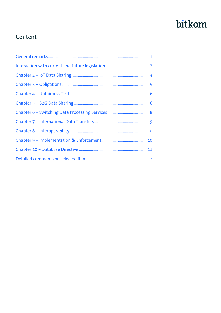### Content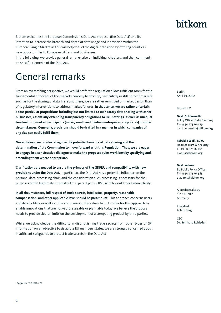Bitkom welcomes the European Commission's Data Act proposal (the Data Act) and its intention to increase the breadth and depth of data usage and innovation within the European Single Market as this will help to fuel the digital transition by offering countless new opportunities to European citizens and businesses.

In the following, we provide general remarks, also on individual chapters, and then comment on specific elements of the Data Act.

# <span id="page-2-0"></span>General remarks

From an overarching perspective, we would prefer the regulation allow sufficient room for the fundamental principles of the market economy to develop, particularly in still *nascent* markets such as for the sharing of data. Here and there, we are rather reminded of market design than of regulatory interventions to address market failures. **In that sense, we are rather uncertain about particular propositions including but not limited to mandatory data sharing with other businesses, essentially extending transparency obligations to B2B settings, as well as unequal treatment of market participants (micro, small, and medium enterprises, corporates) in some circumstances. Generally, provisions should be drafted in a manner in which companies of any size can easily fulfil them.** 

**Nevertheless, we do also recognize the potential benefits of data sharing and the determination of the Commission to move forward with this Regulation. Thus, we are eager to engage in a constructive dialogue to make the proposed rules work best by specifying and amending them where appropriate.** 

**Clarifications are needed to ensure the primacy of the GDPR<sup>1</sup> , and compatibility with new provisions under the Data Act.** In particular, the Data Act has a potential influence on the personal data processing chain and the consideration such processing is necessary for the purposes of the legitimate interests (Art. 6 para 1 pt. f GDPR), which would merit more clarity.

**In all circumstances, full respect of trade secrets, intellectual property, reasonable compensation, and other applicable laws should be paramount.** This approach concerns users and data holders as well as other companies in the value chain. In order for this approach to enable innovations that are not yet foreseeable or plannable today, we believe the proposal needs to provide clearer limits on the development of a competing product by third parties.

While we acknowledge the difficulty in distinguishing trade secrets from other types of (IP) information on an objective basis across EU members states, we are strongly concerned about insufficient safeguards to protect trade secrets in the Data Act

Berlin, April 19, 2022

Bitkom e.V.

**David Schönwerth** Policy Officer Data Economy T +49 30 27576-179 d.schoenwerth@bitkom.org

**Rebekka Weiß, LL.M.** Head of Trust & Security T +49 30 27576-161 r.weiss@bitkom.org

**David Adams** EU Public Policy Officer T +49 30 27576-585 d.adams@bitkom.org

Albrechtstraße 10 10117 Berlin Germany

President Achim Berg

CEO Dr. Bernhard Rohleder

1 Regulation (EU) 2016/679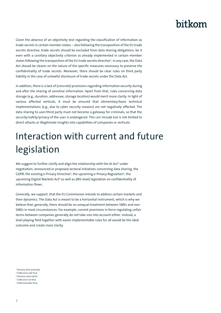Given the absence of an objectivity test regarding the classification of information as trade secrets in certain member states – also following the transposition of the EU trade secrets directive, trade secrets should be excluded from data sharing obligations, be it even with a corollary objectivity criterion as already implemented in certain member states following the transposition of the EU trade secrets directive<sup>2</sup>, in any case, the Data Act should be clearer on the nature of the specific measures necessary to preserve the confidentiality of trade secrets. Moreover, there should be clear rules on third party liability in the case of unlawful disclosure of trade secrets under the Data Act.

In addition, there is a lack of (concrete) provisions regarding information security during and after the sharing of sensitive information. Apart from that, rules concerning data storage (e.g., duration, addressee, storage location) would merit more clarity. In light of various affected verticals, it must be ensured that elementary/basic technical implementations (e.g., due to cyber security reasons) are not negatively affected. The data sharing to user/third party must not become a gateway for criminals, so that the security/safety/privacy of the user is endangered. This can include but is not limited to direct attacks or illegitimate insights into capabilities of companies or verticals.

# <span id="page-3-0"></span>Interaction with current and future legislation

We suggest to further clarify and align the relationship with the AI Act<sup>3</sup> under negotiation, announced or proposed sectoral initiatives concerning data sharing, the GDPR, the existing e-Privacy Directive<sup>4</sup>, the upcoming e-Privacy Regulation<sup>5</sup>, the upcoming Digital Markets Act<sup>6</sup> as well as (MS-level) legislation on confidentiality of information flows.

Generally, we support, that the EU Commission intends to address certain markets and their dynamics. The Data Act is meant to be a horizontal instrument, which is why we believe that, generally, there should be no unequal treatment between SMEs and non-SMEs in most circumstances. For example, current provisions in force regulating unfair terms between companies generally do not take size into account either. Instead, a level playing field together with easier implementable rules for all would be the ideal outcome and create more clarity.

<sup>2</sup> Directive (EU) 2016/943

<sup>3</sup> COM/2021/206 final

<sup>4</sup> Directive 2002/58/EC <sup>5</sup> COM/2017/10 final

<sup>6</sup> COM/2020/842 final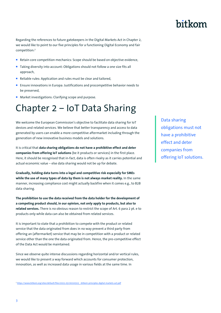Regarding the references to future gatekeepers in the Digital Markets Act in Chapter 2, we would like to point to our five principles for a functioning Digital Economy and fair competition:<sup>7</sup>

- Retain core competition mechanics: Scope should be based on objective evidence,
- Taking diversity into account: Obligations should not follow a one size fits all approach,
- Reliable rules: Application and rules must be clear and tailored,
- **Ensure innovations in Europa: Justifications and procompetitive behavior needs to** be preserved,
- Market investigations: Clarifying scope and purpose.

### <span id="page-4-0"></span>Chapter 2 – IoT Data Sharing

We welcome the European Commission's objective to facilitate data sharing for IoT devices and related services. We believe that better transparency and access to data generated by users can enable a more competitive aftermarket including through the generation of new innovative business models and solutions.

It is critical that **data sharing obligations do not have a prohibitive effect and deter companies from offering IoT solutions** (be it products or services) in the first place. Here, it should be recognised that in-fact, data is often rivalry as it carries potential and actual economic value – else data sharing would not be up for debate.

**Gradually, holding data turns into a legal and competitive risk especially for SMEs while the use of many types of data by them is not always market reality.** In the same manner, increasing compliance cost might actually backfire when it comes e.g., to B2B data sharing.

**The prohibition to use the data received from the data holder for the development of a competing product should, in our opinion, not only apply to products, but also to related services.** There is no obvious reason to restrict the scope of Art. 6 para 2 pt. e to products only while data can also be obtained from related services.

It is important to state that a prohibition to compete with the product or related service that the data originated from does in no way prevent a third party from offering an (aftermarket) service that may be in competition with a product or related service other than the one the data originated from. Hence, the pro-competitive effect of the Data Act would be maintained.

Since we observe quite intense discussions regarding horizontal and/or vertical rules, we would like to present a way forward which accounts for consumer protection, innovation, as well as increased data usage in various fields at the same time. In

<sup>7</sup> [https://www.bitkom.org/sites/default/files/2021-03/20210315\\_-bitkom-principles-digital-markets-act.pdf](https://www.bitkom.org/sites/default/files/2021-03/20210315_-bitkom-principles-digital-markets-act.pdf)

Data sharing obligations must not have a prohibitive effect and deter companies from offering IoT solutions.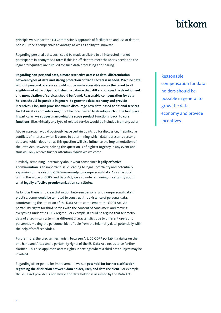principle we support the EU Commission's approach of facilitate to and use of data to boost Europe's competitive advantage as well as ability to innovate.

Regarding personal data, such could be made available to all interested market participants in anonymised form if this is sufficient to meet the user's needs and the legal prerequisites are fulfilled for such data processing and sharing.

**Regarding non-personal data, a more restrictive access to data, differentiation between types of data and strong protection of trade secrets is needed. Machine data without personal reference should not be made accessible across the board to all eligible market participants. Instead, a balance that still encourages the development and monetization of services should be found. Reasonable compensation for data holders should be possible in general to grow the data economy and provide incentives. Else, such provision would discourage new data-based additional services for IoT assets as providers might not be incentivized to develop such in the first place. In particular, we suggest narrowing the scope product functions (back) to core functions.** Else, virtually any type of related service would be included from any actor.

Above approach would obviously leave certain points up for discussion, in particular conflicts of interests when it comes to determining which data represents personal data and which does not, as this question will also influence the implementation of the Data Act. However, solving this question is of highest urgency in any event and thus will only receive further attention, which we welcome.

Similarly, remaining uncertainty about what constitutes **legally effective anonymization** is an important issue, leading to legal uncertainty and potentially expansion of the existing *GDPR-uncertainty* to non-personal data. As a side note, within the scope of GDPR and Data Act, we also note remaining uncertainty about what **legally effective pseudonymization** constitutes.

As long as there is no clear distinction between personal and non-personal data in practise, some would be tempted to construct the existence of personal data, counteracting the intention of the Data Act to complement the GDPR Art. 20 portability rights for third parties with the consent of consumers and moving everything under the GDPR regime. For example, it could be argued that telemetry data of a technical system has different characteristics due to different operating personnel, making the personnel identifiable from the telemetry data, potentially with the help of staff schedules.

Furthermore, the precise mechanism between Art. 20 GDPR portability rights on the one hand and Art. 4 and 5 portability rights of the EU Data Act, needs to be further clarified. This also applies to access rights in settings where a third data subject may be involved.

Regarding other points for improvement, we see **potential for further clarification regarding the distinction between data holder, user, and data recipient**. For example, the IoT asset provider is not always the data holder as assumed by the Data Act.

Reasonable compensation for data holders should be possible in general to grow the data economy and provide incentives.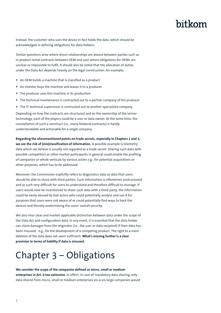Instead, the customer who uses the device in fact holds the data, which should be acknowledged in defining obligations for data holders.

Similar questions arise where direct relationships are absent between parties such as in product rental contracts between OEM and user where obligations for OEMs are unclear or impossible to fulfil. It should also be noted that the allocation of duties under the Data Act depends heavily on the legal construction. An example:

- An OEM builds a machine that is classified as a product
- An investor buys the machine and leases it to a producer
- $\blacksquare$  The producer uses this machine in its production
- $\blacksquare$  The technical maintenance is contracted out to a partner company of the producer
- The IT-technical supervision is contracted out to another specialized company.

Depending on how the contracts are structured and on the ownership of the sensor technology, each of the players could be a user or data owner. At the same time, the constellation of such a construct (i.e., many bilateral contracts) is hardly understandable and actionable for a single company.

**Regarding the aforementioned points on trade secrets, especially in Chapters 2 and 5, we see the risk of (mis)classification of information.** A possible example is telemetry data which we believe is usually not regarded as a trade secret. Sharing such data with possible competitors or other market participants in general could enable the profiling of companies or whole verticals by various actors e.g., for potential acquisitions or other purposes, which has to be addressed.

Moreover, the Commission explicitly refers to diagnostics data as data that users should be able to share with third parties. Such information is oftentimes unstructured and as such very difficult for users to understand and therefore difficult to manage. If users would now be incentivized to share such data with a third-party, the information could be easily abused by bad actors who could potentially analyse and use it for purposes that users were not aware of or could potentially find ways to hack the devices and thereby undermining the users' overall security.

We also miss clear and market-applicable distinction between data under the scope of the Data Act and configuration data. In any event, it is essential that the data holder can claim damages from the originator (i.e., the user or data recipient) if their data has been misused - e.g., for the development of a competing product. The right to a mere deletion of the data does not seem sufficient. **What's missing further is a clear provision in terms of liability if data is misused.**

## <span id="page-6-0"></span>Chapter 3 – Obligations

**We consider the scope of the companies defined as micro, small or medium enterprises in Art. 9 too extensive.** In effect, in case of mandatory data sharing, only data shared from micro, small or medium enterprises vis-à-vis large companies would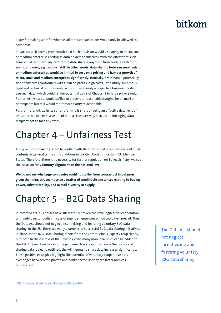allow for making a profit, whereas all other constellations would only be allowed to cover cost.

In particular, it seems problematic that such provision would also apply to micro, small or medium enterprises acting as data holders themselves, with the effect that such firms could not make any profit from data sharing anymore from trading with other such companies, e.g., another SME. **In other words, data sharing between small, micro, or medium enterprises would be limited to cost-only pricing and hamper growth of micro, small and medium enterprises significantly.** Ironically, SMEs would potentially find themselves confronted with a ban on profits, high costs, little utility, ambitious legal and technical requirements, without necessarily a respective business model to use such data, which could render potential gains of Chapter 3 to large players only. Rather, Art. 9 para 1 would suffice to prevent unreasonable margins for all market participants but still would merit more clarity to actionable.

Furthermore, Art. 11 in its current form falls short of being an effective deterrent of unauthorized use or disclosure of data as the user may instruct an infringing data recipient not to take any steps.

# <span id="page-7-0"></span>Chapter 4 – Unfairness Test

The provisions in Art. 13 seem to conflict with the established provisions on control of contents in general terms and conditions in the Civil Codes of (certain) EU Member States. Therefore, there is no necessity for further regulation on EU level; if any, we see the occasion for **voluntary alignment on the national level.** 

**We do not see why large companies could not suffer from contractual imbalances given their size, this seems to be a matter of specific circumstances relating to buying power, substitutability, and overall diversity of supply.** 

## <span id="page-7-1"></span>Chapter 5 – B2G Data Sharing

In recent years, businesses have successfully proven their willingness for cooperation with public sector bodies in case of public emergencies which could well prevail. Thus, the Data Act should not neglect incentivising and fostering voluntary B2G data sharing. In the EU, there are many examples of successful B2G data sharing initiatives in place, as the B2G Data Sharing report from the Commission's Expert Group rightly outlines.<sup>8</sup> In the context of the Covid-19 crisis many more examples can be added to this list. The reaction towards the pandemic has shown that, once the purpose of sharing data is clearly outlined, the willingness to share data increases significantly. These positive examples highlight the potential of voluntary cooperative data exchanges between the private and public sector, as they are faster and less bureaucratic.

The Data Act should not neglect incentivizing and fostering voluntary B2G data sharing.

<sup>8</sup> [https://ec.europa.eu/newsroom/dae/document.cfm?doc\\_id=64954](https://ec.europa.eu/newsroom/dae/document.cfm?doc_id=64954)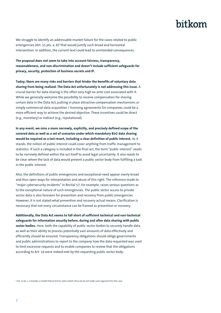We struggle to identify an addressable market failure for the cases related to public emergencies (Art. 15 pts. a, b)<sup>9</sup> that would justify such broad and horizontal intervention. In addition, the current text could lead to unintended consequences.

**The proposal does not seem to take into account fairness, transparency, reasonableness, and non-discrimination and doesn't include sufficient safeguards for privacy, security, protection of business secrets and IP.**

**Today, there are many risks and barriers that hinder the benefits of voluntary data sharing from being realised. The Data Act unfortunately is not addressing this issue.** A crucial barrier for data sharing is the often very high ex-ante cost associated with it. While we generally welcome the possibility to receive compensation for sharing certain data in the Data Act, putting in place attractive compensation mechanisms or simply commercial data acquisition / licensing agreements for companies could be a more efficient way to achieve the desired objective. These incentives could be direct (e.g., monetary) or indirect (e.g., reputational).

**In any event, we miss a more narrowly, explicitly, and precisely defined scope of the covered data as well as a set of scenarios under which mandatory B2G data sharing would be required as a last resort, including a clear definition of public interest.** As it stands, the notion of public interest could cover anything from traffic management to statistics. If such a category is included in the final act, the term "public interest" needs to be narrowly defined within the act itself to avoid legal uncertainty. It also needs to be clear where the lack of data would prevent a public sector body from fulfilling a task in the public interest.

Also, the definitions of public emergencies and exceptional need appear overly broad and thus open ways for interpretation and abuse of this right. The reference made to "major cybersecurity incidents" in Recital 57, for example, raises serious questions as to the exceptional nature of such emergencies. The public sector access to private sector data is also foreseen for prevention and recovery from public emergencies. However, it is not stated what prevention and recovery actual means. Clarification is necessary that not every circumstance can be framed as prevention or recovery.

**Additionally, the Data Act seems to fall short of sufficient technical and non-technical safeguards for information security before, during and after data sharing with public sector bodies.** Here, both the capability of public sector bodies to securely handle data as well as their ability to process potentially vast amounts of data effectively and efficiently should be ensured. Transparency obligations should oblige governments and public administrations to report to the company how the data requested was used to limit excessive requests and to enable companies to review that the obligations according to Art. 19 were indeed met by the requesting public sector body.

<sup>9</sup> Art. 15 pt. c 1 includes a market failure test to some extent, thus we do not make such argument for this case.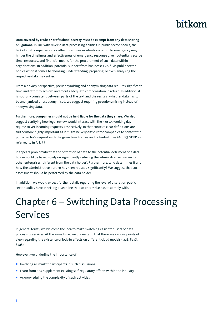#### **Data covered by trade or professional secrecy must be exempt from any data sharing**

**obligations.** In line with diverse data processing abilities in public sector bodies, the lack of cost compensation or other incentives in situations of public emergency may hinder the timeliness and effectiveness of emergency response given potentially scarce time, resources, and financial means for the procurement of such data within organisations. In addition, potential support from businesses vis-à-vis public sector bodies when it comes to choosing, understanding, preparing, or even analysing the respective data may suffer.

From a privacy perspective, pseudonymising and anonymising data requires significant time and effort to achieve and merits adequate compensation in return. In addition, it is not fully consistent between parts of the text and the recitals, whether data has to be anonymised or pseudonymised, we suggest requiring pseudonymising instead of anonymising data.

**Furthermore, companies should not be held liable for the data they share.** We also suggest clarifying how legal review would interact with the 5 or 15 working day regime to vet incoming requests, respectively. In that context, clear definitions are furthermore highly important as it might be very difficult for companies to contest the public sector's request with the given time frames and potential fines (Art. 83 GDPR as referred to in Art. 33).

It appears problematic that the obtention of data to the potential detriment of a data holder could be based solely on significantly reducing the administrative burden for other enterprises (different from the data holder). Furthermore, who determines if and how the administrative burden has been reduced significantly? We suggest that such assessment should be performed by the data holder.

In addition, we would expect further details regarding the level of discretion public sector bodies have in setting a deadline that an enterprise has to comply with.

# <span id="page-9-0"></span>Chapter 6 – Switching Data Processing Services

In general terms, we welcome the idea to make switching easier for users of data processing services. At the same time, we understand that there are various points of view regarding the existence of lock-in effects on different cloud models (IaaS, PaaS, SaaS).

However, we underline the importance of

- **Involving all market participants in such discussions**
- **E** Learn from and supplement existing self-regulatory efforts within the industry
- Acknowledging the complexity of such activities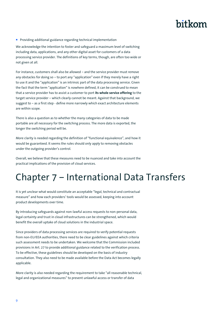**Providing additional guidance regarding technical implementation** 

We acknowledge the intention to foster and safeguard a maximum level of switching including data, applications, and any other digital asset for customers of a data processing service provider. The definitions of key terms, though, are often too wide or not given at all.

For instance, customers shall also be allowed – and the service provider must remove any obstacles for doing so – to port any "application" even if they merely have a right to use it and the "application" is an intrinsic part of the data processing service. Given the fact that the term "application" is nowhere defined, it can be construed to mean that a service provider has to assist a customer to port **its whole service offering** to the target service provider – which clearly cannot be meant. Against that background, we suggest to – as a first step - define more narrowly which exact architecture elements are within scope.

There is also a question as to whether the many categories of data to be made portable are all necessary for the switching process. The more data is exported, the longer the switching period will be.

More clarity is needed regarding the definition of "functional equivalence", and how it would be guaranteed. It seems the rules should only apply to removing obstacles under the outgoing provider's control.

Overall, we believe that these measures need to be nuanced and take into account the practical implications of the provision of cloud services.

## <span id="page-10-0"></span>Chapter 7 – International Data Transfers

It is yet unclear what would constitute an acceptable "legal, technical and contractual measure" and how each providers' tools would be assessed, keeping into account product developments over time.

By introducing safeguards against non-lawful access requests to non-personal data, legal certainty and trust in cloud infrastructures can be strengthened, which would benefit the overall uptake of cloud solutions in the industrial space.

Since providers of data processing services are required to verify potential requests from non-EU/EEA authorities, there need to be clear guidelines against which criteria such assessment needs to be undertaken. We welcome that the Commission included provisions in Art. 27 to provide additional guidance related to the verification process. To be effective, these guidelines should be developed on the basis of industry consultation. They also need to be made available before the Data Act becomes legally applicable.

More clarity is also needed regarding the requirement to take "all reasonable technical, legal and organizational measures" to prevent unlawful access or transfer of data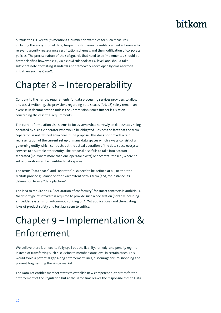outside the EU. Recital 78 mentions a number of examples for such measures including the encryption of data, frequent submission to audits, verified adherence to relevant security reassurance certification schemes, and the modification of corporate policies. The precise nature of the safeguards that need to be implemented should be better clarified however, e.g., via a cloud rulebook at EU level, and should take sufficient note of existing standards and frameworks developed by cross-sectorial initiatives such as Gaia-X.

# <span id="page-11-0"></span>Chapter 8 – Interoperability

Contrary to the narrow requirements for data processing services providers to allow and assist switching, the provisions regarding data spaces (Art. 28) solely remain an exercise in documentation unless the Commission issues further legislation concerning the essential requirements.

The current formulation also seems to focus somewhat narrowly on data spaces being operated by a single operator who would be obligated. Besides the fact that the term "operator" is not defined anywhere in the proposal, this does not provide a fair representation of the current set up of many data spaces which always consist of a governing entity which contracts out the actual operation of the data space ecosystem services to a suitable other entity. The proposal also fails to take into account federated (i.e., where more than one operator exists) or decentralized (i.e., where no set of operators can be identified) data spaces.

The terms "data space" and "operator" also need to be defined at all; neither the recitals provide guidance on the exact extent of this term (and, for instance, its delineation from a "data platform").

The idea to require an EU "declaration of conformity" for smart contracts is ambitious. No other type of software is required to provide such a declaration (notably including embedded systems for autonomous driving or AI/ML applications) and the existing laws of product safety and tort law seem to suffice.

# <span id="page-11-1"></span>Chapter 9 – Implementation & Enforcement

We believe there is a need to fully spell out the liability, remedy, and penalty regime instead of transferring such discussion to member state level in certain cases. This would avoid a potential gap along enforcement lines, discourage forum-shopping and prevent fragmenting the single market.

The Data Act entitles member states to establish new competent authorities for the enforcement of the Regulation but at the same time leaves the responsibilities to Data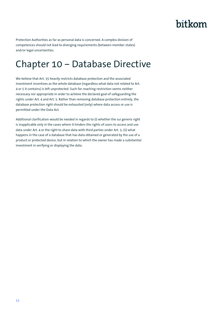Protection Authorities as far as personal data is concerned. A complex division of competences should not lead to diverging requirements (between member states) and/or legal uncertainties.

### <span id="page-12-0"></span>Chapter 10 – Database Directive

We believe that Art. 35 heavily restricts database protection and the associated investment incentives as the whole database (regardless what data not related to Art. 4 or 5 it contains) is left unprotected. Such far-reaching restriction seems neither necessary nor appropriate in order to achieve the declared goal of safeguarding the rights under Art. 4 and Art. 5. Rather than removing database protection entirely, the database protection right should be exhausted (only) where data access or use is permitted under the Data Act.

Additional clarification would be needed in regards to (i) whether the sui generis right is inapplicable only in the cases where it hinders the rights of users to access and use data under Art. 4 or the right to share data with third parties under Art. 5; (ii) what happens in the case of a database that has data obtained or generated by the use of a product or protected device, but in relation to which the owner has made a substantial investment in verifying or displaying the data.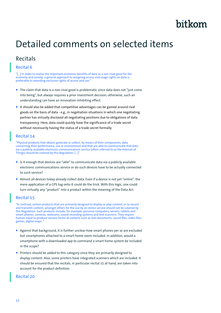## <span id="page-13-0"></span>Detailed comments on selected items

### Recitals

#### Recital 6

"[…] In order to realise the important economic benefits of data as a non-rival good for the economy and society, a general approach to assigning access and usage rights on data is preferable to awarding exclusive rights of access and use."

- **The claim that data is a non-rival good is problematic since data does not "just come** into being", but always requires a prior investment decision; otherwise, such an understanding can have an innovation-inhibiting effect.
- It should also be added that competitive advantages can be gained around rival goods on the basis of data - e.g., in negotiation situations in which one negotiating partner has virtually disclosed all negotiating positions due to obligations of data transparency. Here, data could quickly have the significance of a trade secret without necessarily having the status of a trade secret formally.

#### Recital 14

"Physical products that obtain, generate or collect, by means of their components, data concerning their performance, use or environment and that are able to communicate that data via a publicly available electronic communications service (often referred to as the Internet of Things) should be covered by this Regulation. [...]"

- Is it enough that devices are "able" to communicate data via a publicly available electronic communications service or do such devices have to be actually connected to such service?
- Almost all devices today already collect data. Even if a device is not yet "online", the mere application of a GPS tag onto it could do the trick. With this logic, one could turn virtually any "product" into a product within the meaning of the Data Act.

#### Recital 15

"In contrast, certain products that are primarily designed to display or play content, or to record and transmit content, amongst others for the use by an online service should not be covered by this Regulation. Such products include, for example, personal computers, servers, tablets and smart phones, cameras, webcams, sound recording systems and text scanners. They require human input to produce various forms of content, such as text documents, sound files, video files, games, digital maps. "

- Against that background, it is further unclear how smart phones per se are excluded but smartphones attached to a smart home seem included. In addition, would a smartphone with a downloaded app to command a smart home system be included in the scope?
- **Printers should be added to this category since they are primarily designed to** display content. Also, some printers have integrated scanners which are included. It should be ensured that the recitals, in particular recital 15 at hand, are taken into account for the product definition.

#### Recital 20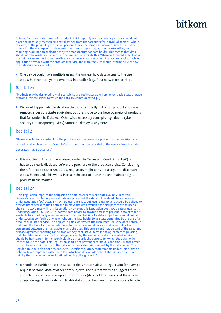"…Manufacturers or designers of a product that is typically used by several persons should put in place the necessary mechanism that allow separate user accounts for individual persons, where relevant, or the possibility for several persons to use the same user account. Access should be granted to the user upon simple request mechanisms granting automatic execution, not requiring examination or clearance by the manufacturer or data holder. This means that data should only be made available when the user actually wants this. Where automated execution of the data access request is not possible, for instance, via a user account or accompanying mobile application provided with the product or service, the manufacturer should inform the user how the data may be accessed."

■ One device could have multiple users. It is unclear how data access to the user would be (technically) implemented in practice (e.g., for a networked printer).

#### Recital 21

"Products may be designed to make certain data directly available from an on-device data storage or from a remote server to which the data are communicated. […]"

■ We would appreciate clarification that access directly to the IoT product and via a remote server constitute equivalent options is due to the heterogeneity of products that fall under the Data Act. Otherwise, necessary concepts (e.g., due to cyber security threats/prerequisites) cannot be deployed anymore.

#### Recital 23

"Before concluding a contract for the purchase, rent, or lease of a product or the provision of a related service, clear and sufficient information should be provided to the user on how the data generated may be accessed"

It is not clear if this can be achieved under the Terms and Conditions (T&C) or if this has to be clearly disclosed before the purchase or the product/service. Considering the reference to GDPR Art. 12-14, regulators might consider a separate disclosure would be needed. This would increase the cost of launching and maintaining a product in the market.

#### Recital 24

"This Regulation imposes the obligation on data holders to make data available in certain circumstances. Insofar as personal data are processed, the data holder should be a controller under Regulation (EU) 2016/679. Where users are data subjects, data holders should be obliged to provide them access to their data and to make the data available to third parties of the user's choice in accordance with this Regulation. However, this Regulation does not create a legal basis under Regulation (EU) 2016/679 for the data holder to provide access to personal data or make it available to a third party when requested by a user that is not a data subject and should not be understood as conferring any new right on the data holder to use data generated by the use of a product or related service. This applies in particular where the manufacturer is the data holder. In that case, the basis for the manufacturer to use non-personal data should be a contractual agreement between the manufacturer and the user. This agreement may be part of the sale, rent or lease agreement relating to the product. Any contractual term in the agreement stipulating that the data holder may use the data generated by the user of a product or related service should be transparent to the user, including as regards the purpose for which the data holder intends to use the data. This Regulation should not prevent contractual conditions, whose effect is to exclude or limit the use of the data, or certain categories thereof, by the data holder. This Regulation should also not prevent sector-specific regulatory requirements under Union law, or national law compatible with Union law, which would exclude or limit the use of certain such data by the data holder on well-defined public policy grounds.

It should be clarified that the Data Act does not constitute a legal claim for users to request personal data of other data subjects. The current wording suggests that such claim exists, and it is upon the controller (data holder) to assess if there is an adequate legal basis under applicable data protection law to provide access to other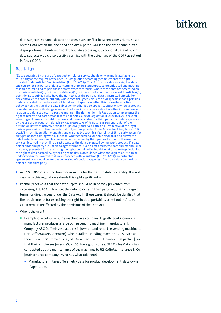data subjects' personal data to the user. Such conflict between access rights based on the Data Act on the one hand and Art. 6 para 1 GDPR on the other hand puts a disproportionate burden on controllers. An access right to personal data of other data subjects would also possibly conflict with the objectives of the GDPR as set out in Art. 1 GDPR.

#### Recital 31

"Data generated by the use of a product or related service should only be made available to a third party at the request of the user. This Regulation accordingly complements the right provided under Article 20 of Regulation (EU) 2016/679. That Article provides for a right of data subjects to receive personal data concerning them in a structured, commonly used and machinereadable format, and to port those data to other controllers, where those data are processed on the basis of Article 6(1), point (a), or Article 9(2), point (a), or of a contract pursuant to Article 6(1), point (b). Data subjects also have the right to have the personal data transmitted directly from one controller to another, but only where technically feasible. Article 20 specifies that it pertains to data provided by the data subject but does not specify whether this necessitates active behaviour on the side of the data subject or whether it also applies to situations where a product or related service by its design observes the behaviour of a data subject or other information in relation to a data subject in a passive manner. The right under this Regulation complements the right to receive and port personal data under Article 20 of Regulation (EU) 2016/679 in several ways. It grants users the right to access and make available to a third party to any data generated by the use of a product or related service, irrespective of its nature as personal data, of the distinction between actively provided or passively observed data, and irrespective of the legal basis of processing. Unlike the technical obligations provided for in Article 20 of Regulation (EU) 2016/679, this Regulation mandates and ensures the technical feasibility of third party access for all types of data coming within its scope, whether personal or non-personal. It also allows the data holder to set reasonable compensation to be met by third parties, but not by the user, for any cost incurred in providing direct access to the data generated by the user's product. If a data holder and third party are unable to agree terms for such direct access, the data subject should be in no way prevented from exercising the rights contained in Regulation (EU) 2016/679, including the right to data portability, by seeking remedies in accordance with that Regulation. It is to be understood in this context that, in accordance with Regulation (EU) 2016/679, a contractual agreement does not allow for the processing of special categories of personal data by the data holder or the third party. "

- Art. 20 GDPR sets out certain requirements for the right to data portability. It is not clear why this regulation extends this right significantly.
- Recital 31 sets out that the data subject should be in no way prevented from exercising Art. 20 GDPR where the data holder and third party are unable to agree terms for direct access under the Data Act. In these cases, it should be clarified that the requirements for exercising the right to data portability as set out in Art. 20 GDPR remain unaffected by the provisions of the Data Act.
- Who is the user?
	- Example of a coffee vending machine in a company. Hypothetical scenario: a manufacturer produces a large coffee vending machine [manufacturer]. Company ABC CoffeeInvest acquires it [owner] and rents the vending machine to DEF CoffeeMakers [operator], who install the vending machine as a service at their customers' premises, e.g., GHI NewStartup GmbH [contractual partner], so that their employees [users ieS, > 100] have good coffee. DEF CoffeeMakers has contracted out the maintenance of the machines to JKL CoffeMaintenance & Co [maintenance company]. Who has what role here?
		- Manufacturer Interest: Telemetry data for product development, data owner if applicable.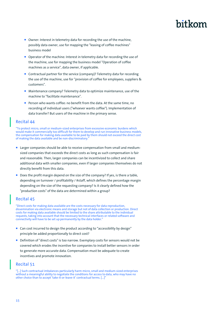- Owner: Interest in telemetry data for recording the use of the machine, possibly data owner, use for mapping the "leasing of coffee machines" business model
- Operator of the machine: Interest in telemetry data for recording the use of the machine, use for mapping the business model "Operation of coffee machines as a service", data owner, if applicable.
- Contractual partner for the service (company)? Telemetry data for recording the use of the machine, use for "provision of coffee for employees, suppliers & customers".
- Maintenance company? Telemetry data to optimize maintenance, use of the machine to "facilitate maintenance".
- **Person who wants coffee: no benefit from the data. At the same time, no** recording of individual users ("whoever wants coffee"). Implementation of data transfer? But users of the machine in the primary sense.

#### Recital 44

"To protect micro, small or medium-sized enterprises from excessive economic burdens which would make it commercially too difficult for them to develop and run innovative business models, the compensation for making data available to be paid by them should not exceed the direct cost of making the data available and be non-discriminatory."

- **Larger companies should be able to receive compensation from small and medium**sized companies that exceeds the direct costs as long as such compensation is fair and reasonable. Then, larger companies can be incentivized to collect and share additional data with smaller companies, even if larger companies themselves do not directly benefit from this data.
- Does the profit margin depend on the size of the company? If yes, is there a table, depending on turnover / profitability / #staff, which defines the percentage margin depending on the size of the requesting company? Is it clearly defined how the "production costs" of the data are determined within a group?

#### Recital 45

"Direct costs for making data available are the costs necessary for data reproduction, dissemination via electronic means and storage but not of data collection or production. Direct costs for making data available should be limited to the share attributable to the individual requests, taking into account that the necessary technical interfaces or related software and connectivity will have to be set up permanently by the data holder."

- Can cost incurred to design the product according to "accessibility by design" principle be added proportionally to direct cost?
- **Definition of "direct costs" is too narrow. Exemplary costs for sensors would not be** covered which erodes the incentive for companies to install better sensors in order to generate more accurate data. Compensation must be adequate to create incentives and promote innovation.

#### Recital 51

"[…] Such contractual imbalances particularly harm micro, small and medium-sized enterprises without a meaningful ability to negotiate the conditions for access to data, who may have no other choice than to accept 'take-it-or-leave-it' contractual terms. […]"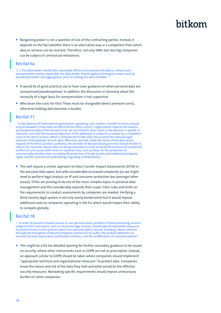Bargaining power is not a question of size of the contracting parties. Instead, it depends on the fact whether there is an alternative way or a competitor from which data or services can be received. Therefore, not only SMEs but also big companies can be subject of contractual imbalances.

#### Recital 64

"[…] The data holder should take reasonable efforts to anonymise the data or, where such anonymisation proves impossible, the data holder should apply technological means such as pseudonymisation and aggregation, prior to making the data available.

- It would be of great practical use to have clear guidance on when personal data are anonymized/pseudonymized. In addition, the discussion in Germany about the necessity of a legal basis for anonymization is not supportive.
- Who bears the costs for this? These must be chargeable (direct provision costs), otherwise holding data becomes a burden.

#### Recital 77

. "In the absence of international agreements regulating such matters, transfer or access should only be allowed if it has been verified that the third country's legal system requires the reasons and proportionality of the decision to be set out, that the court order or the decision is specific in character, and that the reasoned objection of the addressee is subject to a review by a competent court in the third country, which is empowered to take duly into account the relevant legal interests of the provider of such data. Wherever possible under the terms of the data access request of the third country's authority, the provider of data processing services should be able to inform the customer whose data are being requested in order to verify the presence of a potential conflict of such access with Union or national rules, such as those on the protection of commercially sensitive data, including the protection of trade secrets and intellectual property rights and the contractual undertakings regarding confidentiality."

■ This will require a similar approach to Data Transfer Impact Assessments (DTIA) in the personal data space, but with considerable increased complexity (as we might need to perform legal analysis on IP and consumer protection law (amongst other areas)). DTIAs are proving to be one of the most complex topics in personal data management and this considerably expands their scope. Clear rules and limits on the requirements to conduct assessments by companies are needed. Verifying a third country legal system is not only overly burdensome but it would impose additional costs to companies operating in the EU which would impact their ability to compete globally.

#### Recital 78

"…In order to prevent unlawful access to non-personal data, providers of data processing services subject to this instrument, such as cloud and edge services, should take all reasonable measures to prevent access to the systems where non-personal data is stored, including, where relevant, through the encryption of data,the frequent submission to audits, the verified adherence to relevant security reassurance certification schemes, and the modification of corporate policies"

**This might be a bit too detailed opening for further secondary guidance to be issued** on security, where other instruments such as GDPR are not as prescriptive. Instead, an approach similar to GDPR should be taken where companies should implement "appropriate technical and organizational measures" to protect data. Companies know the nature and risk of the data they hold and what would be the effective security measures. Mandating specific requirements would impose unnecessary burden on some companies.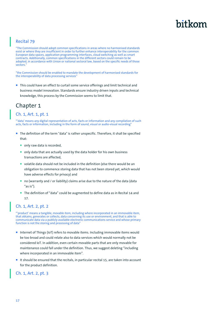#### Recital 79

"The Commission should adopt common specifications in areas where no harmonised standards exist or where they are insufficient in order to further enhance interoperability for the common European data spaces, application programming interfaces, cloud switching as well as smart contracts. Additionally, common specifications in the different sectors could remain to be adopted, in accordance with Union or national sectoral law, based on the specific needs of those sectors."

"the Commission should be enabled to mandate the development of harmonised standards for the interoperability of data processing services'

■ This could have an effect to curtail some service offerings and limit technical and business model innovation. Standards ensure industry driven inputs and technical knowledge, this process by the Commission seems to limit that.

### Chapter 1

#### Ch. 1, Art. 1, pt. 1

"'data' means any digital representation of acts, facts or information and any compilation of such acts, facts or information, including in the form of sound, visual or audio-visual recording"

- The definition of the term "data" is rather unspecific. Therefore, it shall be specified that:
	- only raw data is recorded,
	- only data that are actually used by the data holder for his own business transactions are affected,
	- volatile data should not be included in the definition (else there would be an obligation to commence storing data that has not been stored yet, which would have adverse effects for privacy) and
	- no (warranty and / or liability) claims arise due to the nature of the data (data "as is").
	- The definition of "data" could be augmented to define data as in Recital 14 and 17.

#### Ch. 1, Art. 2, pt. 2

"'product' means a tangible, movable item, including where incorporated in an immovable item, that obtains, generates or collects, data concerning its use or environment, and that is able to communicate data via a publicly available electronic communications service and whose primary function is not the storing and processing of data'

- **Internet of Things (IoT) refers to movable items. Including immovable items would** be too broad and could relate also to data services which would normally not be considered IoT. In addition, even certain movable parts that are only movable for maintenance could fall under the definition. Thus, we suggest deleting "including where incorporated in an immovable item".
- It should be ensured that the recitals, in particular recital 15, are taken into account for the product definition.

#### Ch. 1, Art. 2, pt. 3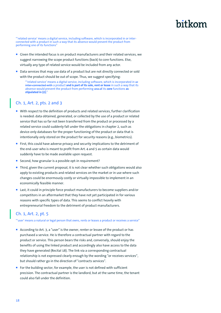"'related service' means a digital service, including software, which is incorporated in or interconnected with a product in such a way that its absence would prevent the product from performing one of its functions"

- Given the intended focus is on product manufacturers and their related services, we suggest narrowing the scope product functions (back) to core functions. Else, virtually any type of related service would be included from any actor.
- Data services that may use data of a product but are not directly connected or sold with the product should be out of scope. Thus, we suggest specifying:

"'related service' means a digital service, including software, which is incorporated in or inter-connected with a product and is part of its sale, rent or lease in such a way that its absence would prevent the product from performing one of its **core** functions **as stipulated in (2)**;"

### Ch. 1, Art. 2, pts. 2 and 3

- With respect to the definition of products and related services, further clarification is needed: data obtained, generated, or collected by the use of a product or related service that has so far not been transferred from the product or processed by a related service could suddenly fall under the obligations in chapter 2, such as device-only databases for the proper functioning of the product or data that is intentionally only stored on the product for security reasons (e.g., biometrics).
- First, this could have adverse privacy and security implications to the detriment of the end-user who is meant to profit from Art. 4 and 5 as certain data would suddenly have to be made available upon request.
- Second, how granular is a possible opt-in requirement?
- Third, given the current proposal, it is not clear whether such obligations would also apply to existing products and related services on the market or in use where such changes could be enormously costly or virtually impossible to implement in an economically feasible manner.
- Last, it could in principle force product manufacturers to become suppliers and/or competitors in an aftermarket that they have not yet participated in for various reasons with specific types of data. This seems to conflict heavily with entrepreneurial freedom to the detriment of product manufacturers.

#### Ch. 1, Art. 2, pt. 5

"'user' means a natural or legal person that owns, rents or leases a product or receives a service"

- According to Art. 3, a "user" is the owner, renter or lessee of the product or has purchased a service. He is therefore a contractual partner with regard to the product or service. This person bears the risks and, conversely, should enjoy the benefits of using the linked product and accordingly also have access to the data they have generated (Recital 18). The link via a corresponding contractual relationship is not expressed clearly enough by the wording "or receives services", but should rather go in the direction of "contracts services".
- For the building sector, for example, the user is not defined with sufficient precision. The contractual partner is the landlord, but at the same time, the tenant could also fall under the definition.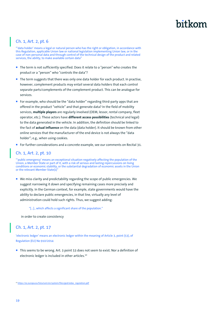### Ch. 1, Art. 2, pt. 6

"'data holder' means a legal or natural person who has the right or obligation, in accordance with this Regulation, applicable Union law or national legislation implementing Union law, or in the case of non-personal data and through control of the technical design of the product and related services, the ability, to make available certain data"

- The term is not sufficiently specified. Does it relate to a "person" who creates the product or a "person" who "controls the data"?
- The term suggests that there was only one data holder for each product. In practise, however, complement products may entail several data holders that each control separate parts/complements of the complement product. This can be analogue for services.
- For example, who should be the "data holder" regarding third-party apps that are offered in the product "vehicle" and that generate data? In the field of mobility services, **multiple players** are regularly involved (OEM, lessor, rental company, fleet operator, etc.). These actors have **different access possibilities** (technical and legal) to the data generated in the vehicle. In addition, the definition should be linked to the fact of **actual influence** on the data (data holder). It should be known from other online services that the manufacturer of the end device is not always the "data holder"; e.g., when using cookies.
- For further considerations and a concrete example, see our comments on Recital 31.

#### Ch. 1, Art. 2, pt. 10

"'public emergency' means an exceptional situation negatively affecting the population of the Union, a Member State or part of it, with a risk of serious and lasting repercussions on living conditions or economic stability, or the substantial degradation of economic assets in the Union or the relevant Member State(s)"

 $\blacksquare$  We miss clarity and predictability regarding the scope of public emergencies. We suggest narrowing it down and specifying remaining cases more precisely and explicitly. In the German context, for example, state governments would have the ability to declare public emergencies, in that line, virtually any level of administration could hold such rights. Thus, we suggest adding:

#### "[...]., which affects a significant share of the population."

in order to create consistency

#### Ch. 1, Art. 2, pt. 17

'electronic ledger' means an electronic ledger within the meaning of Article 3, point (53), of Regulation (EU) No 910/2014

 This seems to be wrong. Art. 3 point 53 does not seem to exist. Nor a definition of electronic ledger is included in other articles.<sup>10</sup>

<sup>10</sup> [https://ec.europa.eu/futurium/en/system/files/ged/eidas\\_regulation.pdf](https://ec.europa.eu/futurium/en/system/files/ged/eidas_regulation.pdf)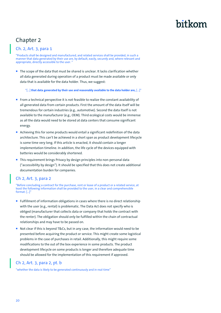### Chapter 2

#### Ch. 2, Art. 3, para 1

"Products shall be designed and manufactured, and related services shall be provided, in such a manner that data generated by their use are, by default, easily, securely and, where relevant and appropriate, directly accessible to the user.

The scope of the data that must be shared is unclear. It lacks clarification whether all data generated during operation of a product must be made available or only data that is available for the data holder. Thus, we suggest:

"[…] **that data generated by their use and reasonably available to the data holder are,** […]"

- From a technical perspective it is not feasible to realize the constant availability of all generated data from certain products. First the amount of the data itself will be tremendous for certain industries (e.g., automotive). Second the data itself is not available to the manufacturer (e.g., OEM). Third ecological costs would be immense as all the data would need to be stored at data centers that consume significant energy.
- Achieving this for some products would entail a significant redefinition of the data architecture. This can't be achieved in a short span as product development lifecycle is some time very long. If this article is enacted, it should contain a longer implementation timeline. In addition, the life cycle of the devices equipped with batteries would be considerably shortened.
- **This requirement brings Privacy by design principles into non-personal data** ("accessibility by design"). It should be specified that this does not create additional documentation burden for companies.

### Ch 2, Art. 3, para 2

"Before concluding a contract for the purchase, rent or lease of a product or a related service, at least the following information shall be provided to the user, in a clear and comprehensible format: […]"

- Fulfillment of information obligations in cases where there is no direct relationship with the user (e.g., rental) is problematic. The Data Act does not specify who is obliged (manufacturer that collects data or company that holds the contract with the renter). The obligation should only be fulfilled within the chain of contractual relationships and may have to be passed on.
- Not clear if this is beyond T&Cs, but in any case, the information would need to be presented before acquiring the product or service. This might create some logistical problems in the case of purchases in retail. Additionally, this might require some modifications to the out of the box experience in some products. The product development lifecycle on some products is longer and therefore adequate time should be allowed for the implementation of this requirement if approved.

#### Ch 2, Art. 3, para 2, pt. b

"whether the data is likely to be generated continuously and in real-time"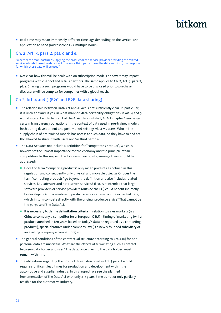**Real-time may mean immensely different time lags depending on the vertical and** application at hand (microseconds vs. multiple hours).

#### Ch. 2, Art. 3, para 2, pts. d and e.

"whether the manufacturer supplying the product or the service provider providing the related service intends to use the data itself or allow a third party to use the data and, if so, the purposes for which those data will be used"

Not clear how this will be dealt with on subscription models or how it may impact programs with channel and retails partners. The same applies to Ch. 2, Art. 3, para 2, pt. e. Sharing via such programs would have to be disclosed prior to purchase, disclosure will be complex for companies with a global reach.

#### Ch 2, Art. 4 and 5 (B2C and B2B data sharing)

- The relationship between Data Act and AI Act is not sufficiently clear. In particular, it is unclear if and, if yes, in what manner, data portability obligations in Art. 4 and 5 would interact with chapter 2 of the AI Act. In a nutshell, AI Act chapter 2 envisages certain transparency obligations in the context of data used in pre-trained models both during development and post-market settings vis-à-vis users. Who in the supply chain of pre-trained models has access to such data, do they have to and are the allowed to share it with users and/or third parties?
- The Data Act does not include a definition for "competitor's product", which is however of the utmost importance for the economy and the principle of fair competition. In this respect, the following two points, among others, should be addressed:
	- Does the term "competing products" only mean products as defined in this regulation and consequently only physical and movable objects? Or does the term "competing products" go beyond the definition and also includes related services, i.e., software and data-driven services? If so, is it intended that large software providers or service providers (outside the EU) could benefit indirectly by developing (software-driven) products/services based on the extracted data, which in turn compete directly with the original product/service? That cannot be the purpose of the Data Act.
	- It is necessary to define **delimitation criteria** in relation to sales markets (is a Chinese company a competitor for a European OEM?), timing of marketing (will a product launched in ten years based on today's data be regarded as a competing product?), special features under company law (is a newly founded subsidiary of an existing company a competitor?) etc.
- $\blacksquare$  The general conditions of the contractual structure according to Art. 4 (6) for nonpersonal data are uncertain. What are the effects of terminating such a contract between data holder and user? The data, once given to the data holder, must remain with him.
- The obligations regarding the product design described in Art. 3 para 1 would require significant lead times for production and development within the automotive and supplier industry. In this respect, we see the planned implementation of the Data Act with only 2-3 years' time as not or only partially feasible for the automotive industry.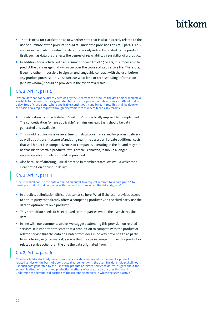- $\blacksquare$  There is need for clarification as to whether data that is also indirectly related to the use or purchase of the product should fall under the provisions of Art. 3 para 1. This applies in particular to industrial data that is only indirectly related to the product itself, such as data that reflects the degree of recyclability / reusability of a product.
- In addition, for a vehicle with an assumed service life of 15 years, it is impossible to predict the data usage that will occur over the course of said service life. Therefore, it seems rather impossible to sign an unchangeable contract with the user before any product purchase. It is also unclear what kind of corresponding information (and by whom?) should be provided in the event of a resale.

#### Ch. 2, Art. 4, para 1

"Where data cannot be directly accessed by the user from the product, the data holder shall make available to the user the data generated by its use of a product or related service without undue delay, free of charge and, where applicable, continuously and in real-time. This shall be done on the basis of a simple request through electronic means where technically feasible."

- The obligation to provide data in "real time" is practically impossible to implement. The concretization "where applicable" remains unclear. Basis should be data generated and available.
- **This would require massive investment in data governance and/or process delivery** as well as data architecture. Mandating real time access will create additional costs that will hinder the competitiveness of companies operating in the EU and may not be feasible for certain products. If this article is enacted, it should a longer implementation timeline should be provided.
- Also because of differing judicial practise in member states, we would welcome a clear definition of "undue delay".

#### Ch. 2, Art. 4, para 4

"The user shall not use the data obtained pursuant to a request referred to in paragraph 1 to develop a product that competes with the product from which the data originate'

- In practice, delimitation difficulties can arise here. What if the user provides access to a third party that already offers a competing product? Can the third party use the data to optimize its own product?
- This prohibition needs to be extended to third parties where the user shares the data.
- In line with our comments above, we suggest extending this provision on related services. It is important to state that a prohibition to compete with the product or related service that the data originated from does in no way prevent a third party from offering an (aftermarket) service that may be in competition with a product or related service other than the one the data originated from.

#### Ch. 2, Art. 4, para 6

"The data holder shall only use any non-personal data generated by the use of a product or related service on the basis of a contractual agreement with the user. The data holder shall not use such data generated by the use of the product or related service to derive insights about the economic situation, assets and production methods of or the use by the user that could undermine the commercial position of the user in the markets in which the user is active."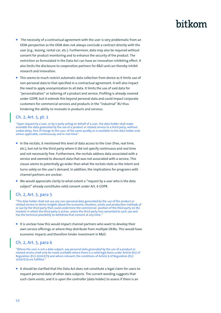- $\blacksquare$  The necessity of a contractual agreement with the user is very problematic from an OEM-perspective as the OEM does not always conclude a contract directly with the user (e.g., leasing, rental car, etc.). Furthermore, data may also be required without consent for product monitoring and to enhance the security of the product. The restriction as formulated in the Data Act can have an innovation-inhibiting effect. It also limits the disclosure to cooperation partners for R&D and can thereby inhibit research and innovation.
- $\blacksquare$  This seems to much restrict automatic data collection from device as it limits use of non-personal data to that specified in a contractual agreement. It will also impact the need to apply anonymization to all data. It limits the use of said data for "personalization" or tailoring of a product and service. Profiling is already covered under GDPR, but it extends this beyond personal data and could impact corporate customers for commercial services and products in the "industrial" BU thus hindering the ability to innovate in products and services.

#### Ch. 2, Art. 5, pt. 1

"Upon request by a user, or by a party acting on behalf of a user, the data holder shall make available the data generated by the use of a product or related service to a third party, without undue delay, free of charge to the user, of the same quality as is available to the data holder and, where applicable, continuously and in real-time"

- $\blacksquare$  In the recitals, it mentioned this level of data access to the User (free, real time, etc.), but not to the third party where it did not specify continuous and real time and not necessarily free. Furthermore, the recitals address data associated with a service and seemed to discount data that was not associated with a service. This clause seems to potentially go wider than what the recitals state as the intent and turns solely on the user's demand. In addition, the implications for programs with channel partners are unclear.
- $\blacksquare$  We would appreciate clarity to what extent a "request by a user who is the data subject" already constitutes valid consent under Art. 6 GDPR.

#### Ch. 2, Art. 5, para 5

"The data holder shall not use any non-personal data generated by the use of the product or related service to derive insights about the economic situation, assets and production methods of or use by the third party that could undermine the commercial position of the third party on the markets in which the third party is active, unless the third party has consented to such use and has the technical possibility to withdraw that consent at any time..

It is unclear how this would impact channel partners who want to develop their own service offerings or where they distribute from multiple OEMs. This would have economic impacts and therefore hinder investment in R&D.

#### Ch. 2, Art. 5, para 6

"Where the user is not a data subject, any personal data generated by the use of a product or related service shall only be made available where there is a valid legal basis under Article 6(1) of Regulation (EU) 2016/679 and where relevant, the conditions of Article 9 of Regulation (EU) 2016/679 are fulfilled."

It should be clarified that the Data Act does not constitute a legal claim for users to request personal data of other data subjects. The current wording suggests that such claim exists, and it is upon the controller (data holder) to assess if there is an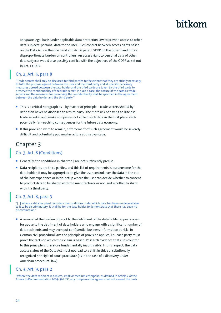adequate legal basis under applicable data protection law to provide access to other data subjects' personal data to the user. Such conflict between access rights based on the Data Act on the one hand and Art. 6 para 1 GDPR on the other hand puts a disproportionate burden on controllers. An access right to personal data of other data subjects would also possibly conflict with the objectives of the GDPR as set out in Art. 1 GDPR.

### Ch. 2, Art. 5, para 8

"Trade secrets shall only be disclosed to third parties to the extent that they are strictly necessary to fulfil the purpose agreed between the user and the third party and all specific necessary measures agreed between the data holder and the third party are taken by the third party to preserve the confidentiality of the trade secret. In such a case, the nature of the data as trade secrets and the measures for preserving the confidentiality shall be specified in the agreement between the data holder and the third party.

- This is a critical paragraph as by matter of principle trade secrets should by definition never be disclosed to a third party. The mere risk of having to disclose trade secrets could make companies not collect such data in the first place, with potentially far-reaching consequences for the future data economy.
- If this provision were to remain, enforcement of such agreement would be severely difficult and potentially put smaller actors at disadvantage.

### Chapter 3

#### Ch. 3, Art. 8 (Conditions)

- Generally, the conditions in chapter 3 are not sufficiently precise.
- Data recipients are third parties, and this list of requirements is burdensome for the data holder. It may be appropriate to give the user control over the data in the out of the box experience or initial setup where the user can decide whether to consent to product data to be shared with the manufacturer or not, and whether to share with it a third party.

#### Ch. 3, Art. 8, para 3

"[…] Where a data recipient considers the conditions under which data has been made available to it to be discriminatory, it shall be for the data holder to demonstrate that there has been no discrimination<sup>'</sup>

A reversal of the burden of proof to the detriment of the data holder appears open for abuse to the detriment of data holders who engage with a significant number of data recipients and may even put confidential business information at risk. In German civil procedural law, the principle of provision applies, i.e., each party must prove the facts on which their claim is based. Research evidence that runs counter to this principle is therefore fundamentally inadmissible. In this respect, the data access claims of the Data Act must not lead to a shift in this constitutionally recognized principle of court procedure (as in the case of a discovery under American procedural law).

#### Ch. 3, Art. 9, para 2

"Where the data recipient is a micro, small or medium enterprise, as defined in Article 2 of the Annex to Recommendation 2003/361/EC, any compensation agreed shall not exceed the costs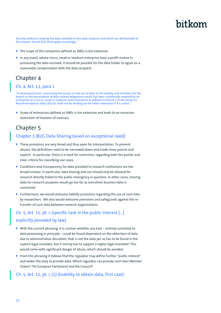directly related to making the data available to the data recipient and which are attributable to the request. Article 8(3) shall apply accordingly.

- The scope of the companies defined as SMEs is too extensive.
- In any event, where micro, small or medium enterprise have a profit motive in processing the data received, it should be possible for the data holder to agree on a reasonable compensation with the data recipient.

### Chapter 4

#### Ch. 4, Art. 13, para 1

"A contractual term, concerning the access to and use of data or the liability and remedies for the breach or the termination of data related obligations which has been unilaterally imposed by an enterprise on a micro, small or medium-sized enterprise as defined in Article 2 of the Annex to Recommendation 2003/361/EC shall not be binding on the latter enterprise if it is unfair."

Scope of enterprises defined as SMEs is too extensive and leads to an excessive restriction of freedom of contract.

### Chapter 5

#### Chapter 5 (B2G Data Sharing based on exceptional need)

- These provisions are very broad and thus open for interpretation. To prevent abuses, the definitions need to be narrowed down and made more precise and explicit. In particular, there is a need for restriction, regarding both the parties and clear criteria for classifying use cases.
- Conditions and transparency for data provided to research institutions are too broad/unclear. In particular, data sharing and use should only be allowed for research directly linked to the public emergency in question. In other cases, sharing data for research purposes would go too far as (sensitive) business data is concerned.
- Furthermore, we would welcome liability provisions regarding the use of such data by researchers. We also would welcome provisions and safeguards against the retransfer of such data between research organizations.

### Ch. 5, Art. 15, pt. c (specific task in the public interest […] explicitly provided by law)

- With the current phrasing, it is unclear whether any task entirely unrelated to data processing in principle – could be found dependent on the obtention of data due to administrative discretion, that is not the data per se has to be found in the explicit legal mandate, but it merely has to support a *higher* legal mandate? This would come with significant danger of abuse, which should be avoided.
- From this phrasing it follows that the regulator may define further "public interest" and widen the duty to provide data. Which regulator can provide such law? Member States? The European Parliament and the Council?

#### Ch. 5, Art. 15, pt. c (1) (Inability to obtain data, first case)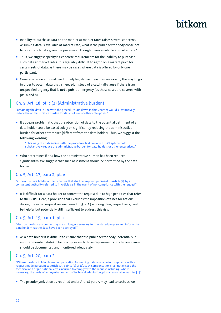- Inability to purchase data on the market at market rates raises several concerns. Assuming data is available at market rate, what if the public sector body chose not to obtain such data given the prices even though it was available at market rate?
- **Thus, we suggest specifying concrete requirements for the inability to purchase** such data at market rates. It is arguably difficult to agree on a market price for certain sets of data, as there may be cases where data is offered by only one participant.
- Generally, in exceptional need, timely legislative measures are exactly the way to go in order to obtain data that is needed, instead of a catch-all-clause if there is an unspecified urgency that is **not** a public emergency (as these cases are covered with pts. a and b).

#### Ch. 5, Art. 18, pt. c (2) (Administrative burden)

"obtaining the data in line with the procedure laid down in this Chapter would substantively reduce the administrative burden for data holders or other enterprises."

It appears problematic that the obtention of data to the potential detriment of a data holder could be based solely on significantly reducing the administrative burden for other enterprises (different from the data holder). Thus, we suggest the following wording:

"obtaining the data in line with the procedure laid down in this Chapter would substantively reduce the administrative burden for data holders or other enterprises.

■ Who determines if and how the administrative burden has been reduced significantly? We suggest that such assessment should be performed by the data holder.

#### Ch. 5, Art. 17, para 2, pt. e

"inform the data holder of the penalties that shall be imposed pursuant to Article 33 by a competent authority referred to in Article 31 in the event of noncompliance with the request"

It is difficult for a data holder to contest the request due to high penalties that refer to the GDPR. Here, a provision that excludes the imposition of fines for actions during the initial request review period of 5 or 15 working days, respectively, could be helpful but potentially still insufficient to address this risk.

### Ch. 5, Art. 19, para 1, pt. c

"destroy the data as soon as they are no longer necessary for the stated purpose and inform the data holder that the data have been destroyed."

As a data holder it is difficult to ensure that the public sector body (potentially in another member state) in fact complies with those requirements. Such compliance should be documented and monitored adequately.

#### Ch. 5, Art. 20, para 2

"Where the data holder claims compensation for making data available in compliance with a request made pursuant to Article 15, points (b) or (c), such compensation shall not exceed the technical and organisational costs incurred to comply with the request including, where necessary, the costs of anonymisation and of technical adaptation, plus a reasonable margin. […]"

**The pseudonymization as required under Art. 18 para 5 may lead to costs as well.**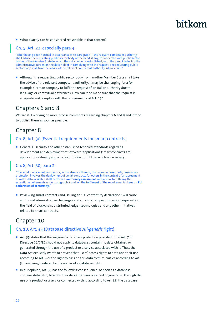What exactly can be considered reasonable in that context?

#### Ch. 5, Art. 22, especially para 4

"After having been notified in accordance with paragraph 3, the relevant competent authority shall advise the requesting public sector body of the need, if any, to cooperate with public sector bodies of the Member State in which the data holder is established, with the aim of reducing the administrative burden on the data holder in complying with the request. The requesting public sector body shall take the advice of the relevant competent authority into account."

Although the requesting public sector body from another Member State shall take the advice of the relevant competent authority, it may be challenging for a for example German company to fulfil the request of an Italian authority due to language or contextual differences. How can it be made sure that the request is adequate and complies with the requirements of Art. 17?

### Chapters 6 and 8

We are still working on more precise comments regarding chapters 6 and 8 and intend to publish them as soon as possible.

### Chapter 8

#### Ch. 8, Art. 30 (Essential requirements for smart contracts)

■ General IT security and other established technical standards regarding development and deployment of software/applications (smart contracts are applications) already apply today, thus we doubt this article is necessary.

#### Ch. 8, Art. 30, para 2

"The vendor of a smart contract or, in the absence thereof, the person whose trade, business or profession involves the deployment of smart contracts for others in the context of an agreement to make data available shall perform a **conformity assessment** with a view to fulfilling the essential requirements under paragraph 1 and, on the fulfilment of the requirements, issue an **EU declaration of conformity**."

■ Reviewing smart contracts and issuing an "EU conformity declaration" will cause additional administrative challenges and strongly hamper innovation, especially in the field of blockchain, distributed ledger technologies and any other initiatives related to smart contracts.

### Chapter 10

#### Ch. 10, Art. 35 (Database directive *sui-generis* right)

- Art. 35 states that the sui generis database protection provided for in Art. 7 of Directive 96/9/EC should not apply to databases containing data obtained or generated through the use of a product or a service associated with it. Thus, the Data Act explicitly wants to prevent that users' access rights to data and their use according to Art. 4 or the right to pass on this data to third parties according to Art. 5 from being hindered by the owner of a database right.
- In our opinion, Art. 35 has the following consequence: As soon as a database contains data (also, besides other data) that was obtained or generated through the use of a product or a service connected with it, according to Art. 35, the database